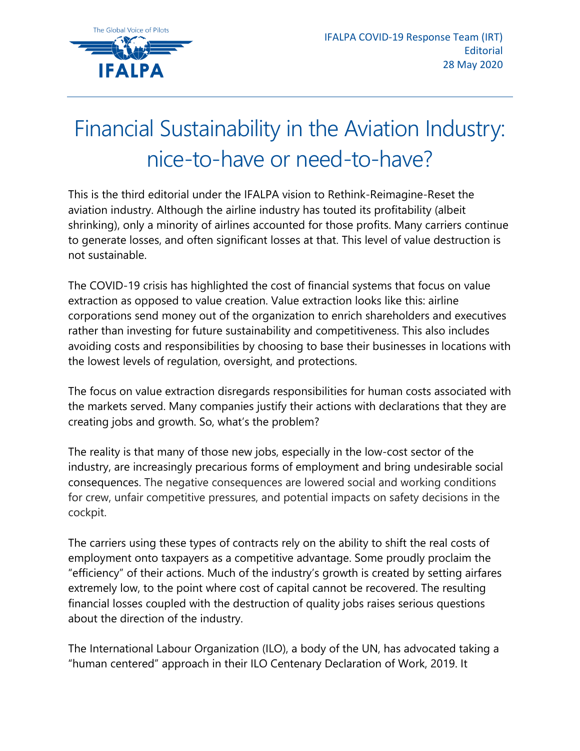

## Financial Sustainability in the Aviation Industry: nice-to-have or need-to-have?

This is the third editorial under the IFALPA vision to Rethink-Reimagine-Reset the aviation industry. Although the airline industry has touted its profitability (albeit shrinking), only a minority of airlines accounted for those profits. Many carriers continue to generate losses, and often significant losses at that. This level of value destruction is not sustainable.

The COVID-19 crisis has highlighted the cost of financial systems that focus on value extraction as opposed to value creation. Value extraction looks like this: airline corporations send money out of the organization to enrich shareholders and executives rather than investing for future sustainability and competitiveness. This also includes avoiding costs and responsibilities by choosing to base their businesses in locations with the lowest levels of regulation, oversight, and protections.

The focus on value extraction disregards responsibilities for human costs associated with the markets served. Many companies justify their actions with declarations that they are creating jobs and growth. So, what's the problem?

The reality is that many of those new jobs, especially in the low-cost sector of the industry, are increasingly precarious forms of employment and bring undesirable social consequences. The negative consequences are lowered social and working conditions for crew, unfair competitive pressures, and potential impacts on safety decisions in the cockpit.

The carriers using these types of contracts rely on the ability to shift the real costs of employment onto taxpayers as a competitive advantage. Some proudly proclaim the "efficiency" of their actions. Much of the industry's growth is created by setting airfares extremely low, to the point where cost of capital cannot be recovered. The resulting financial losses coupled with the destruction of quality jobs raises serious questions about the direction of the industry.

The International Labour Organization (ILO), a body of the UN, has advocated taking a "human centered" approach in their ILO Centenary Declaration of Work, 2019. It